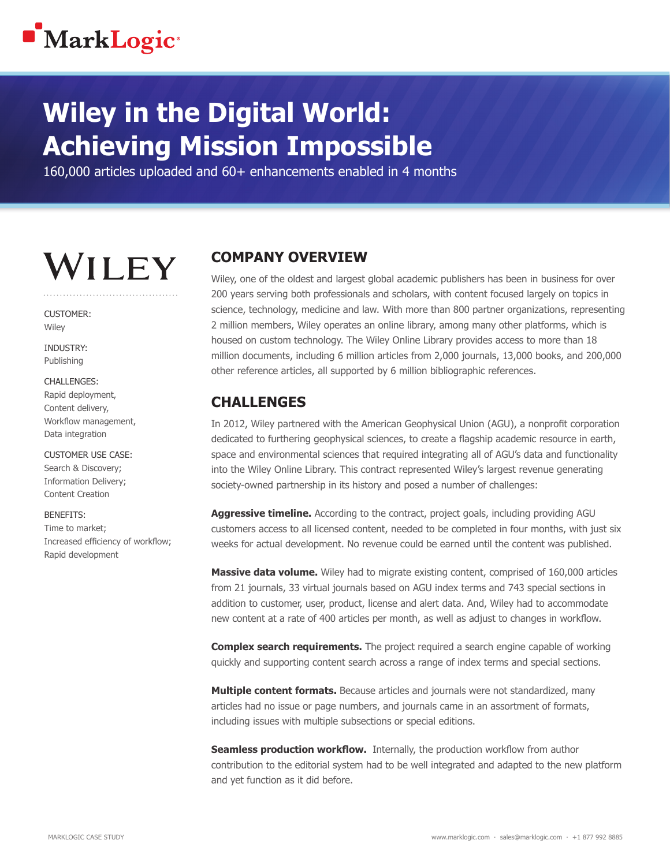

## **Wiley in the Digital World: Achieving Mission Impossible**

160,000 articles uploaded and 60+ enhancements enabled in 4 months

# **WILEY**

CUSTOMER: **Wiley** 

**INDUSTRY** Publishing

#### CHALLENGES:

Rapid deployment, Content delivery, Workflow management, Data integration

CUSTOMER USE CASE: Search & Discovery; Information Delivery; Content Creation

BENEFITS:

Time to market; Increased efficiency of workflow; Rapid development

#### **COMPANY OVERVIEW**

Wiley, one of the oldest and largest global academic publishers has been in business for over 200 years serving both professionals and scholars, with content focused largely on topics in science, technology, medicine and law. With more than 800 partner organizations, representing 2 million members, Wiley operates an online library, among many other platforms, which is housed on custom technology. The Wiley Online Library provides access to more than 18 million documents, including 6 million articles from 2,000 journals, 13,000 books, and 200,000 other reference articles, all supported by 6 million bibliographic references.

#### **CHALLENGES**

In 2012, Wiley partnered with the American Geophysical Union (AGU), a nonprofit corporation dedicated to furthering geophysical sciences, to create a flagship academic resource in earth, space and environmental sciences that required integrating all of AGU's data and functionality into the Wiley Online Library. This contract represented Wiley's largest revenue generating society-owned partnership in its history and posed a number of challenges:

**Aggressive timeline.** According to the contract, project goals, including providing AGU customers access to all licensed content, needed to be completed in four months, with just six weeks for actual development. No revenue could be earned until the content was published.

**Massive data volume.** Wiley had to migrate existing content, comprised of 160,000 articles from 21 journals, 33 virtual journals based on AGU index terms and 743 special sections in addition to customer, user, product, license and alert data. And, Wiley had to accommodate new content at a rate of 400 articles per month, as well as adjust to changes in workflow.

**Complex search requirements.** The project required a search engine capable of working quickly and supporting content search across a range of index terms and special sections.

**Multiple content formats.** Because articles and journals were not standardized, many articles had no issue or page numbers, and journals came in an assortment of formats, including issues with multiple subsections or special editions.

**Seamless production workflow.** Internally, the production workflow from author contribution to the editorial system had to be well integrated and adapted to the new platform and yet function as it did before.